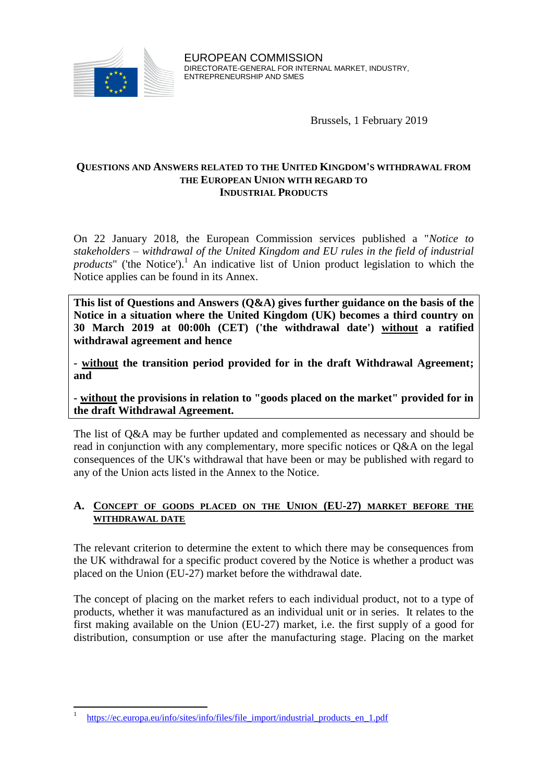

EUROPEAN COMMISSION DIRECTORATE-GENERAL FOR INTERNAL MARKET, INDUSTRY, ENTREPRENEURSHIP AND SMES

Brussels, 1 February 2019

#### **QUESTIONS AND ANSWERS RELATED TO THE UNITED KINGDOM'S WITHDRAWAL FROM THE EUROPEAN UNION WITH REGARD TO INDUSTRIAL PRODUCTS**

On 22 January 2018, the European Commission services published a "*Notice to stakeholders – withdrawal of the United Kingdom and EU rules in the field of industrial products*" ('the Notice').<sup>1</sup> An indicative list of Union product legislation to which the Notice applies can be found in its Annex.

**This list of Questions and Answers (Q&A) gives further guidance on the basis of the Notice in a situation where the United Kingdom (UK) becomes a third country on 30 March 2019 at 00:00h (CET) ('the withdrawal date') without a ratified withdrawal agreement and hence** 

**- without the transition period provided for in the draft Withdrawal Agreement; and**

**- without the provisions in relation to "goods placed on the market" provided for in the draft Withdrawal Agreement.**

The list of Q&A may be further updated and complemented as necessary and should be read in conjunction with any complementary, more specific notices or Q&A on the legal consequences of the UK's withdrawal that have been or may be published with regard to any of the Union acts listed in the Annex to the Notice.

## **A. CONCEPT OF GOODS PLACED ON THE UNION (EU-27) MARKET BEFORE THE WITHDRAWAL DATE**

The relevant criterion to determine the extent to which there may be consequences from the UK withdrawal for a specific product covered by the Notice is whether a product was placed on the Union (EU-27) market before the withdrawal date.

The concept of placing on the market refers to each individual product, not to a type of products, whether it was manufactured as an individual unit or in series. It relates to the first making available on the Union (EU-27) market, i.e. the first supply of a good for distribution, consumption or use after the manufacturing stage. Placing on the market

 $\ddot{\phantom{a}}$ 1 [https://ec.europa.eu/info/sites/info/files/file\\_import/industrial\\_products\\_en\\_1.pdf](https://ec.europa.eu/info/sites/info/files/file_import/industrial_products_en_1.pdf)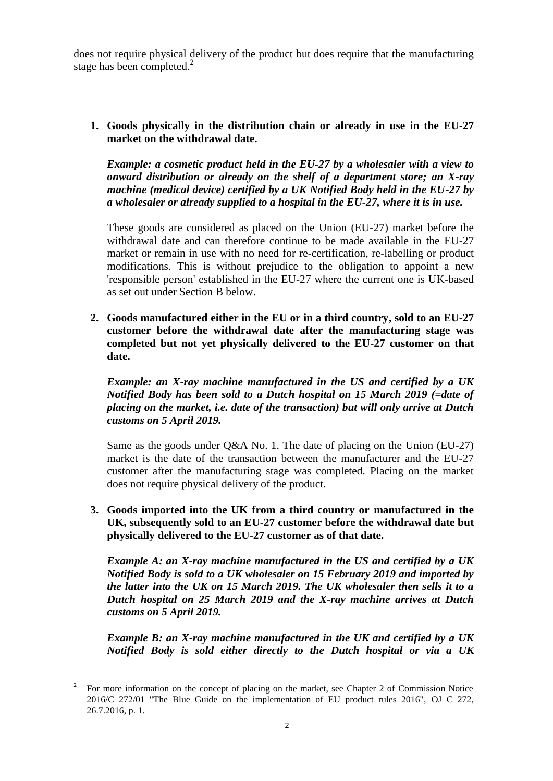does not require physical delivery of the product but does require that the manufacturing stage has been completed.<sup>2</sup>

**1. Goods physically in the distribution chain or already in use in the EU-27 market on the withdrawal date.**

*Example: a cosmetic product held in the EU-27 by a wholesaler with a view to onward distribution or already on the shelf of a department store; an X-ray machine (medical device) certified by a UK Notified Body held in the EU-27 by a wholesaler or already supplied to a hospital in the EU-27, where it is in use.*

These goods are considered as placed on the Union (EU-27) market before the withdrawal date and can therefore continue to be made available in the EU-27 market or remain in use with no need for re-certification, re-labelling or product modifications. This is without prejudice to the obligation to appoint a new 'responsible person' established in the EU-27 where the current one is UK-based as set out under Section B below.

**2. Goods manufactured either in the EU or in a third country, sold to an EU-27 customer before the withdrawal date after the manufacturing stage was completed but not yet physically delivered to the EU-27 customer on that date.**

*Example: an X-ray machine manufactured in the US and certified by a UK Notified Body has been sold to a Dutch hospital on 15 March 2019 (=date of placing on the market, i.e. date of the transaction) but will only arrive at Dutch customs on 5 April 2019.* 

Same as the goods under Q&A No. 1. The date of placing on the Union (EU-27) market is the date of the transaction between the manufacturer and the EU-27 customer after the manufacturing stage was completed. Placing on the market does not require physical delivery of the product.

**3. Goods imported into the UK from a third country or manufactured in the UK, subsequently sold to an EU-27 customer before the withdrawal date but physically delivered to the EU-27 customer as of that date.**

*Example A: an X-ray machine manufactured in the US and certified by a UK Notified Body is sold to a UK wholesaler on 15 February 2019 and imported by the latter into the UK on 15 March 2019. The UK wholesaler then sells it to a Dutch hospital on 25 March 2019 and the X-ray machine arrives at Dutch customs on 5 April 2019.*

*Example B: an X-ray machine manufactured in the UK and certified by a UK Notified Body is sold either directly to the Dutch hospital or via a UK* 

 $\overline{a}$ 2 For more information on the concept of placing on the market, see Chapter 2 of Commission Notice 2016/C 272/01 "The Blue Guide on the implementation of EU product rules 2016", OJ C 272, 26.7.2016, p. 1.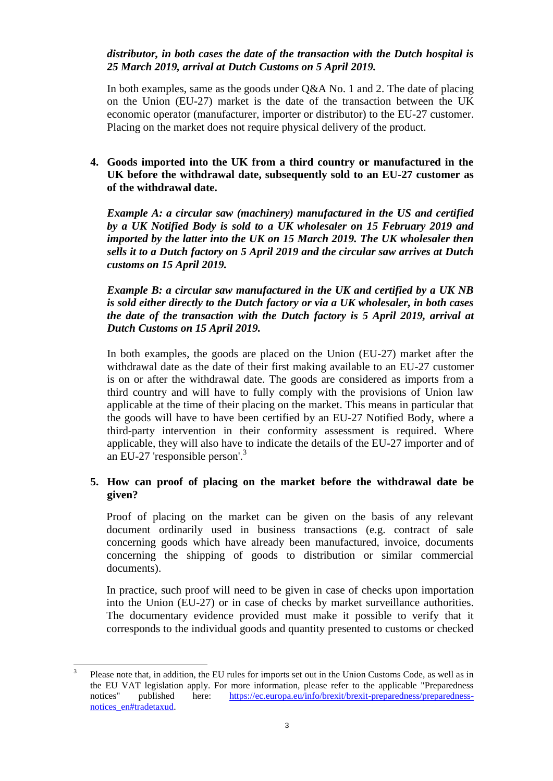### *distributor, in both cases the date of the transaction with the Dutch hospital is 25 March 2019, arrival at Dutch Customs on 5 April 2019.*

In both examples, same as the goods under Q&A No. 1 and 2. The date of placing on the Union (EU-27) market is the date of the transaction between the UK economic operator (manufacturer, importer or distributor) to the EU-27 customer. Placing on the market does not require physical delivery of the product.

## **4. Goods imported into the UK from a third country or manufactured in the UK before the withdrawal date, subsequently sold to an EU-27 customer as of the withdrawal date.**

*Example A: a circular saw (machinery) manufactured in the US and certified by a UK Notified Body is sold to a UK wholesaler on 15 February 2019 and imported by the latter into the UK on 15 March 2019. The UK wholesaler then sells it to a Dutch factory on 5 April 2019 and the circular saw arrives at Dutch customs on 15 April 2019.*

*Example B: a circular saw manufactured in the UK and certified by a UK NB is sold either directly to the Dutch factory or via a UK wholesaler, in both cases the date of the transaction with the Dutch factory is 5 April 2019, arrival at Dutch Customs on 15 April 2019.*

In both examples, the goods are placed on the Union (EU-27) market after the withdrawal date as the date of their first making available to an EU-27 customer is on or after the withdrawal date. The goods are considered as imports from a third country and will have to fully comply with the provisions of Union law applicable at the time of their placing on the market. This means in particular that the goods will have to have been certified by an EU-27 Notified Body, where a third-party intervention in their conformity assessment is required. Where applicable, they will also have to indicate the details of the EU-27 importer and of an EU-27 'responsible person'. 3

## **5. How can proof of placing on the market before the withdrawal date be given?**

Proof of placing on the market can be given on the basis of any relevant document ordinarily used in business transactions (e.g. contract of sale concerning goods which have already been manufactured, invoice, documents concerning the shipping of goods to distribution or similar commercial documents).

In practice, such proof will need to be given in case of checks upon importation into the Union (EU-27) or in case of checks by market surveillance authorities. The documentary evidence provided must make it possible to verify that it corresponds to the individual goods and quantity presented to customs or checked

 3 Please note that, in addition, the EU rules for imports set out in the Union Customs Code, as well as in the EU VAT legislation apply. For more information, please refer to the applicable "Preparedness notices" published here: [https://ec.europa.eu/info/brexit/brexit-preparedness/preparedness](https://ec.europa.eu/info/brexit/brexit-preparedness/preparedness-notices_en#tradetaxud)[notices\\_en#tradetaxud.](https://ec.europa.eu/info/brexit/brexit-preparedness/preparedness-notices_en#tradetaxud)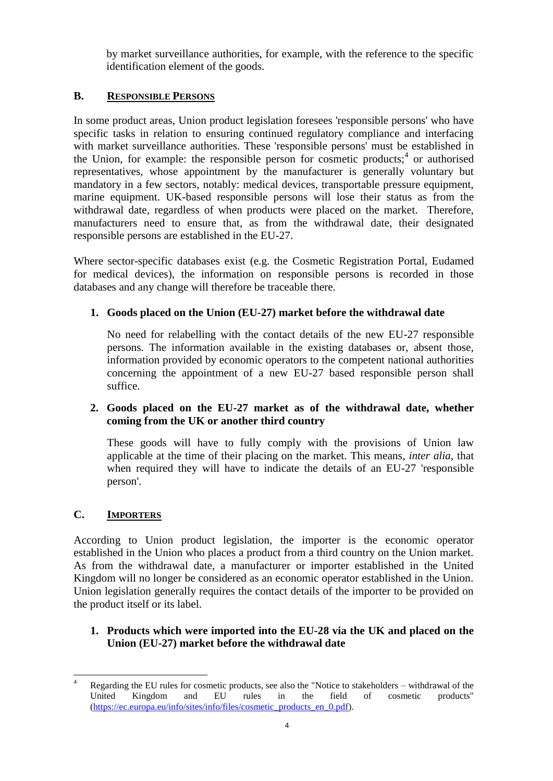by market surveillance authorities, for example, with the reference to the specific identification element of the goods.

## **B. RESPONSIBLE PERSONS**

In some product areas, Union product legislation foresees 'responsible persons' who have specific tasks in relation to ensuring continued regulatory compliance and interfacing with market surveillance authorities. These 'responsible persons' must be established in the Union, for example: the responsible person for cosmetic products;<sup>4</sup> or authorised representatives, whose appointment by the manufacturer is generally voluntary but mandatory in a few sectors, notably: medical devices, transportable pressure equipment, marine equipment. UK-based responsible persons will lose their status as from the withdrawal date, regardless of when products were placed on the market. Therefore, manufacturers need to ensure that, as from the withdrawal date, their designated responsible persons are established in the EU-27.

Where sector-specific databases exist (e.g. the Cosmetic Registration Portal, Eudamed for medical devices), the information on responsible persons is recorded in those databases and any change will therefore be traceable there.

# **1. Goods placed on the Union (EU-27) market before the withdrawal date**

No need for relabelling with the contact details of the new EU-27 responsible persons. The information available in the existing databases or, absent those, information provided by economic operators to the competent national authorities concerning the appointment of a new EU-27 based responsible person shall suffice.

## **2. Goods placed on the EU-27 market as of the withdrawal date, whether coming from the UK or another third country**

These goods will have to fully comply with the provisions of Union law applicable at the time of their placing on the market. This means, *inter alia*, that when required they will have to indicate the details of an EU-27 'responsible person'.

# **C. IMPORTERS**

According to Union product legislation, the importer is the economic operator established in the Union who places a product from a third country on the Union market. As from the withdrawal date, a manufacturer or importer established in the United Kingdom will no longer be considered as an economic operator established in the Union. Union legislation generally requires the contact details of the importer to be provided on the product itself or its label.

## **1. Products which were imported into the EU-28 via the UK and placed on the Union (EU-27) market before the withdrawal date**

 $\overline{a}$ Regarding the EU rules for cosmetic products, see also the "Notice to stakeholders – withdrawal of the United Kingdom and EU rules in the field of cosmetic products" [\(https://ec.europa.eu/info/sites/info/files/cosmetic\\_products\\_en\\_0.pdf\)](https://ec.europa.eu/info/sites/info/files/cosmetic_products_en_0.pdf).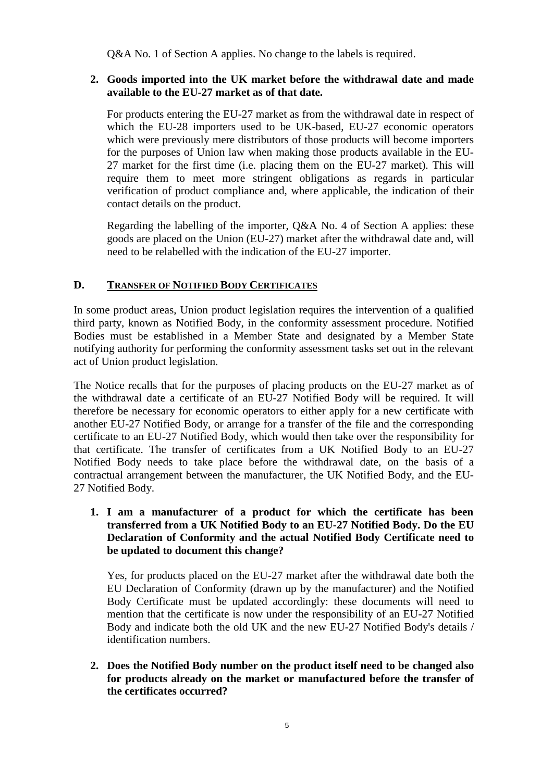Q&A No. 1 of Section A applies. No change to the labels is required.

#### **2. Goods imported into the UK market before the withdrawal date and made available to the EU-27 market as of that date.**

For products entering the EU-27 market as from the withdrawal date in respect of which the EU-28 importers used to be UK-based, EU-27 economic operators which were previously mere distributors of those products will become importers for the purposes of Union law when making those products available in the EU-27 market for the first time (i.e. placing them on the EU-27 market). This will require them to meet more stringent obligations as regards in particular verification of product compliance and, where applicable, the indication of their contact details on the product.

Regarding the labelling of the importer, Q&A No. 4 of Section A applies: these goods are placed on the Union (EU-27) market after the withdrawal date and, will need to be relabelled with the indication of the EU-27 importer.

### **D. TRANSFER OF NOTIFIED BODY CERTIFICATES**

In some product areas, Union product legislation requires the intervention of a qualified third party, known as Notified Body, in the conformity assessment procedure. Notified Bodies must be established in a Member State and designated by a Member State notifying authority for performing the conformity assessment tasks set out in the relevant act of Union product legislation.

The Notice recalls that for the purposes of placing products on the EU-27 market as of the withdrawal date a certificate of an EU-27 Notified Body will be required. It will therefore be necessary for economic operators to either apply for a new certificate with another EU-27 Notified Body, or arrange for a transfer of the file and the corresponding certificate to an EU-27 Notified Body, which would then take over the responsibility for that certificate. The transfer of certificates from a UK Notified Body to an EU-27 Notified Body needs to take place before the withdrawal date, on the basis of a contractual arrangement between the manufacturer, the UK Notified Body, and the EU-27 Notified Body.

### **1. I am a manufacturer of a product for which the certificate has been transferred from a UK Notified Body to an EU-27 Notified Body. Do the EU Declaration of Conformity and the actual Notified Body Certificate need to be updated to document this change?**

Yes, for products placed on the EU-27 market after the withdrawal date both the EU Declaration of Conformity (drawn up by the manufacturer) and the Notified Body Certificate must be updated accordingly: these documents will need to mention that the certificate is now under the responsibility of an EU-27 Notified Body and indicate both the old UK and the new EU-27 Notified Body's details / identification numbers.

**2. Does the Notified Body number on the product itself need to be changed also for products already on the market or manufactured before the transfer of the certificates occurred?**